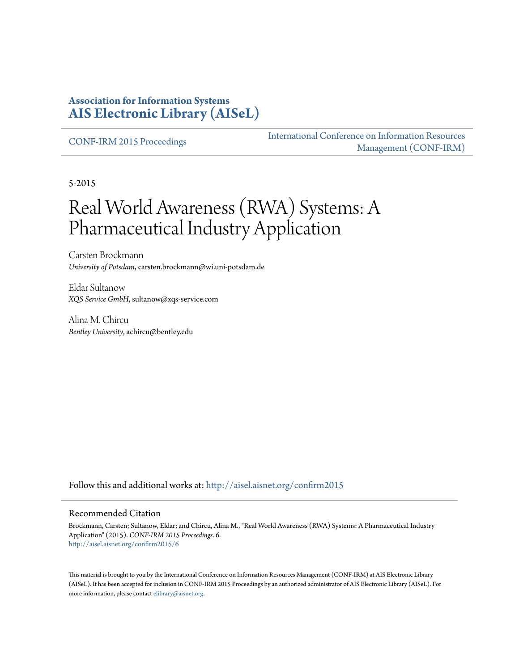#### **Association for Information Systems [AIS Electronic Library \(AISeL\)](http://aisel.aisnet.org?utm_source=aisel.aisnet.org%2Fconfirm2015%2F6&utm_medium=PDF&utm_campaign=PDFCoverPages)**

[CONF-IRM 2015 Proceedings](http://aisel.aisnet.org/confirm2015?utm_source=aisel.aisnet.org%2Fconfirm2015%2F6&utm_medium=PDF&utm_campaign=PDFCoverPages)

[International Conference on Information Resources](http://aisel.aisnet.org/conf-irm?utm_source=aisel.aisnet.org%2Fconfirm2015%2F6&utm_medium=PDF&utm_campaign=PDFCoverPages) [Management \(CONF-IRM\)](http://aisel.aisnet.org/conf-irm?utm_source=aisel.aisnet.org%2Fconfirm2015%2F6&utm_medium=PDF&utm_campaign=PDFCoverPages)

5-2015

# Real World Awareness (RWA) Systems: A Pharmaceutical Industry Application

Carsten Brockmann *University of Potsdam*, carsten.brockmann@wi.uni-potsdam.de

Eldar Sultanow *XQS Service GmbH*, sultanow@xqs-service.com

Alina M. Chircu *Bentley University*, achircu@bentley.edu

Follow this and additional works at: [http://aisel.aisnet.org/confirm2015](http://aisel.aisnet.org/confirm2015?utm_source=aisel.aisnet.org%2Fconfirm2015%2F6&utm_medium=PDF&utm_campaign=PDFCoverPages)

#### Recommended Citation

Brockmann, Carsten; Sultanow, Eldar; and Chircu, Alina M., "Real World Awareness (RWA) Systems: A Pharmaceutical Industry Application" (2015). *CONF-IRM 2015 Proceedings*. 6. [http://aisel.aisnet.org/confirm2015/6](http://aisel.aisnet.org/confirm2015/6?utm_source=aisel.aisnet.org%2Fconfirm2015%2F6&utm_medium=PDF&utm_campaign=PDFCoverPages)

This material is brought to you by the International Conference on Information Resources Management (CONF-IRM) at AIS Electronic Library (AISeL). It has been accepted for inclusion in CONF-IRM 2015 Proceedings by an authorized administrator of AIS Electronic Library (AISeL). For more information, please contact [elibrary@aisnet.org.](mailto:elibrary@aisnet.org%3E)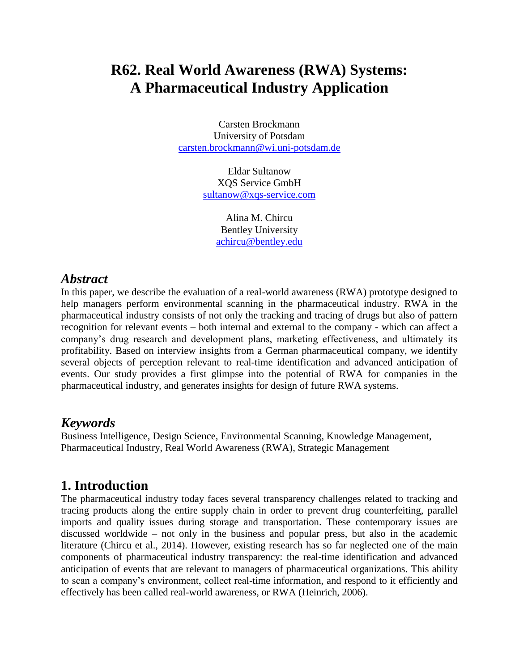## **R62. Real World Awareness (RWA) Systems: A Pharmaceutical Industry Application**

Carsten Brockmann University of Potsdam [carsten.brockmann@wi.uni-potsdam.de](mailto:carsten.brockmann@wi.uni-potsdam.de)

> Eldar Sultanow XQS Service GmbH [sultanow@xqs-service.com](mailto:sultanow@xqs-service.com)

> > Alina M. Chircu Bentley University [achircu@bentley.edu](mailto:achircu@bentley.edu)

#### *Abstract*

In this paper, we describe the evaluation of a real-world awareness (RWA) prototype designed to help managers perform environmental scanning in the pharmaceutical industry. RWA in the pharmaceutical industry consists of not only the tracking and tracing of drugs but also of pattern recognition for relevant events – both internal and external to the company - which can affect a company's drug research and development plans, marketing effectiveness, and ultimately its profitability. Based on interview insights from a German pharmaceutical company, we identify several objects of perception relevant to real-time identification and advanced anticipation of events. Our study provides a first glimpse into the potential of RWA for companies in the pharmaceutical industry, and generates insights for design of future RWA systems.

#### *Keywords*

Business Intelligence, Design Science, Environmental Scanning, Knowledge Management, Pharmaceutical Industry, Real World Awareness (RWA), Strategic Management

#### **1. Introduction**

The pharmaceutical industry today faces several transparency challenges related to tracking and tracing products along the entire supply chain in order to prevent drug counterfeiting, parallel imports and quality issues during storage and transportation. These contemporary issues are discussed worldwide – not only in the business and popular press, but also in the academic literature (Chircu et al., 2014). However, existing research has so far neglected one of the main components of pharmaceutical industry transparency: the real-time identification and advanced anticipation of events that are relevant to managers of pharmaceutical organizations. This ability to scan a company's environment, collect real-time information, and respond to it efficiently and effectively has been called real-world awareness, or RWA (Heinrich, 2006).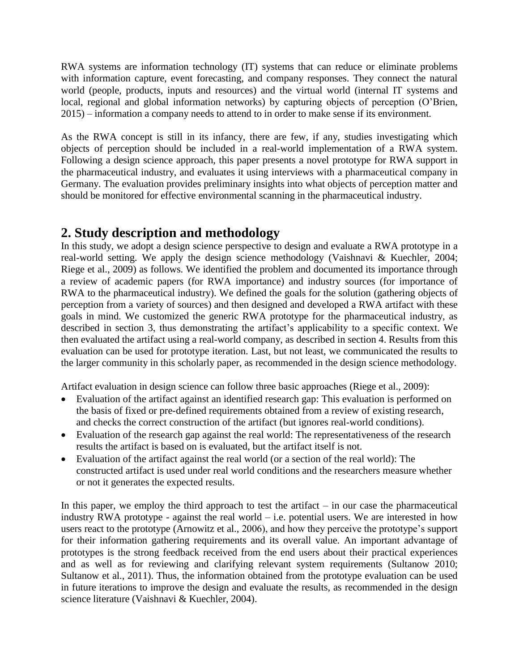RWA systems are information technology (IT) systems that can reduce or eliminate problems with information capture, event forecasting, and company responses. They connect the natural world (people, products, inputs and resources) and the virtual world (internal IT systems and local, regional and global information networks) by capturing objects of perception (O'Brien, 2015) – information a company needs to attend to in order to make sense if its environment.

As the RWA concept is still in its infancy, there are few, if any, studies investigating which objects of perception should be included in a real-world implementation of a RWA system. Following a design science approach, this paper presents a novel prototype for RWA support in the pharmaceutical industry, and evaluates it using interviews with a pharmaceutical company in Germany. The evaluation provides preliminary insights into what objects of perception matter and should be monitored for effective environmental scanning in the pharmaceutical industry.

#### **2. Study description and methodology**

In this study, we adopt a design science perspective to design and evaluate a RWA prototype in a real-world setting. We apply the design science methodology (Vaishnavi & Kuechler, 2004; Riege et al., 2009) as follows. We identified the problem and documented its importance through a review of academic papers (for RWA importance) and industry sources (for importance of RWA to the pharmaceutical industry). We defined the goals for the solution (gathering objects of perception from a variety of sources) and then designed and developed a RWA artifact with these goals in mind. We customized the generic RWA prototype for the pharmaceutical industry, as described in section 3, thus demonstrating the artifact's applicability to a specific context. We then evaluated the artifact using a real-world company, as described in section 4. Results from this evaluation can be used for prototype iteration. Last, but not least, we communicated the results to the larger community in this scholarly paper, as recommended in the design science methodology.

Artifact evaluation in design science can follow three basic approaches (Riege et al., 2009):

- Evaluation of the artifact against an identified research gap: This evaluation is performed on the basis of fixed or pre-defined requirements obtained from a review of existing research, and checks the correct construction of the artifact (but ignores real-world conditions).
- Evaluation of the research gap against the real world: The representativeness of the research results the artifact is based on is evaluated, but the artifact itself is not.
- Evaluation of the artifact against the real world (or a section of the real world): The constructed artifact is used under real world conditions and the researchers measure whether or not it generates the expected results.

In this paper, we employ the third approach to test the artifact  $-$  in our case the pharmaceutical industry RWA prototype - against the real world  $-$  i.e. potential users. We are interested in how users react to the prototype (Arnowitz et al., 2006), and how they perceive the prototype's support for their information gathering requirements and its overall value. An important advantage of prototypes is the strong feedback received from the end users about their practical experiences and as well as for reviewing and clarifying relevant system requirements (Sultanow 2010; Sultanow et al., 2011). Thus, the information obtained from the prototype evaluation can be used in future iterations to improve the design and evaluate the results, as recommended in the design science literature (Vaishnavi & Kuechler, 2004).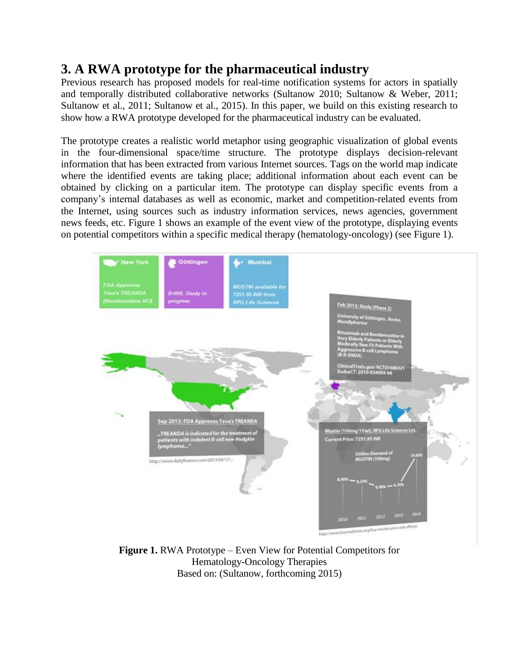### **3. A RWA prototype for the pharmaceutical industry**

Previous research has proposed models for real-time notification systems for actors in spatially and temporally distributed collaborative networks (Sultanow 2010; Sultanow & Weber, 2011; Sultanow et al., 2011; Sultanow et al., 2015). In this paper, we build on this existing research to show how a RWA prototype developed for the pharmaceutical industry can be evaluated.

The prototype creates a realistic world metaphor using geographic visualization of global events in the four-dimensional space/time structure. The prototype displays decision-relevant information that has been extracted from various Internet sources. Tags on the world map indicate where the identified events are taking place; additional information about each event can be obtained by clicking on a particular item. The prototype can display specific events from a company's internal databases as well as economic, market and competition-related events from the Internet, using sources such as industry information services, news agencies, government news feeds, etc. Figure 1 shows an example of the event view of the prototype, displaying events on potential competitors within a specific medical therapy (hematology-oncology) (see Figure 1).



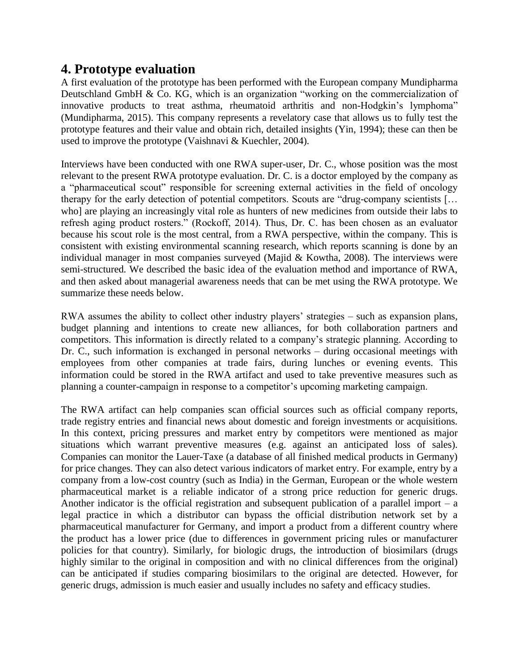#### **4. Prototype evaluation**

A first evaluation of the prototype has been performed with the European company Mundipharma Deutschland GmbH & Co. KG, which is an organization "working on the commercialization of innovative products to treat asthma, rheumatoid arthritis and non-Hodgkin's lymphoma" (Mundipharma, 2015). This company represents a revelatory case that allows us to fully test the prototype features and their value and obtain rich, detailed insights (Yin, 1994); these can then be used to improve the prototype (Vaishnavi & Kuechler, 2004).

Interviews have been conducted with one RWA super-user, Dr. C., whose position was the most relevant to the present RWA prototype evaluation. Dr. C. is a doctor employed by the company as a "pharmaceutical scout" responsible for screening external activities in the field of oncology therapy for the early detection of potential competitors. Scouts are "drug-company scientists [… who] are playing an increasingly vital role as hunters of new medicines from outside their labs to refresh aging product rosters." (Rockoff, 2014). Thus, Dr. C. has been chosen as an evaluator because his scout role is the most central, from a RWA perspective, within the company. This is consistent with existing environmental scanning research, which reports scanning is done by an individual manager in most companies surveyed (Majid & Kowtha, 2008). The interviews were semi-structured. We described the basic idea of the evaluation method and importance of RWA, and then asked about managerial awareness needs that can be met using the RWA prototype. We summarize these needs below.

RWA assumes the ability to collect other industry players' strategies – such as expansion plans, budget planning and intentions to create new alliances, for both collaboration partners and competitors. This information is directly related to a company's strategic planning. According to Dr. C., such information is exchanged in personal networks – during occasional meetings with employees from other companies at trade fairs, during lunches or evening events. This information could be stored in the RWA artifact and used to take preventive measures such as planning a counter-campaign in response to a competitor's upcoming marketing campaign.

The RWA artifact can help companies scan official sources such as official company reports, trade registry entries and financial news about domestic and foreign investments or acquisitions. In this context, pricing pressures and market entry by competitors were mentioned as major situations which warrant preventive measures (e.g. against an anticipated loss of sales). Companies can monitor the Lauer-Taxe (a database of all finished medical products in Germany) for price changes. They can also detect various indicators of market entry. For example, entry by a company from a low-cost country (such as India) in the German, European or the whole western pharmaceutical market is a reliable indicator of a strong price reduction for generic drugs. Another indicator is the official registration and subsequent publication of a parallel import  $-$  a legal practice in which a distributor can bypass the official distribution network set by a pharmaceutical manufacturer for Germany, and import a product from a different country where the product has a lower price (due to differences in government pricing rules or manufacturer policies for that country). Similarly, for biologic drugs, the introduction of biosimilars (drugs highly similar to the original in composition and with no clinical differences from the original) can be anticipated if studies comparing biosimilars to the original are detected. However, for generic drugs, admission is much easier and usually includes no safety and efficacy studies.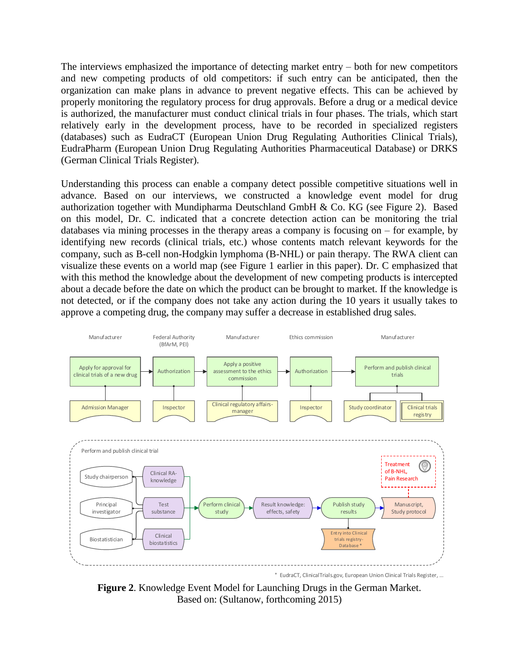The interviews emphasized the importance of detecting market entry – both for new competitors and new competing products of old competitors: if such entry can be anticipated, then the organization can make plans in advance to prevent negative effects. This can be achieved by properly monitoring the regulatory process for drug approvals. Before a drug or a medical device is authorized, the manufacturer must conduct clinical trials in four phases. The trials, which start relatively early in the development process, have to be recorded in specialized registers (databases) such as EudraCT (European Union Drug Regulating Authorities Clinical Trials), EudraPharm (European Union Drug Regulating Authorities Pharmaceutical Database) or DRKS (German Clinical Trials Register).

Understanding this process can enable a company detect possible competitive situations well in advance. Based on our interviews, we constructed a knowledge event model for drug authorization together with Mundipharma Deutschland GmbH & Co. KG (see Figure 2). Based on this model, Dr. C. indicated that a concrete detection action can be monitoring the trial databases via mining processes in the therapy areas a company is focusing on  $-$  for example, by identifying new records (clinical trials, etc.) whose contents match relevant keywords for the company, such as B-cell non-Hodgkin lymphoma (B-NHL) or pain therapy. The RWA client can visualize these events on a world map (see Figure 1 earlier in this paper). Dr. C emphasized that with this method the knowledge about the development of new competing products is intercepted about a decade before the date on which the product can be brought to market. If the knowledge is not detected, or if the company does not take any action during the 10 years it usually takes to approve a competing drug, the company may suffer a decrease in established drug sales.



**Figure 2**. Knowledge Event Model for Launching Drugs in the German Market. Based on: (Sultanow, forthcoming 2015)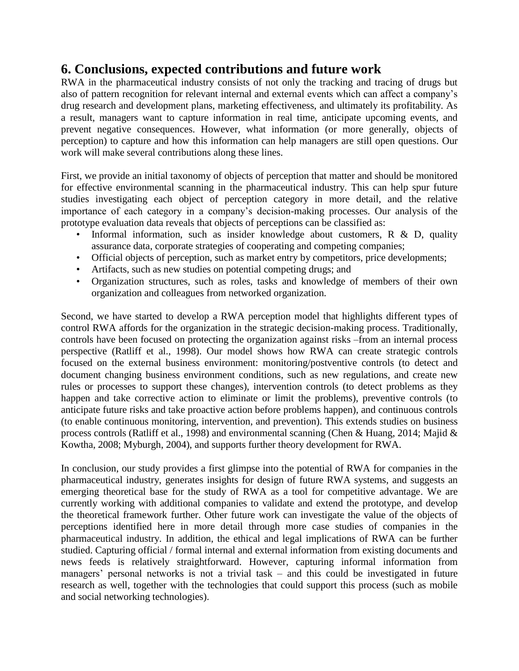#### **6. Conclusions, expected contributions and future work**

RWA in the pharmaceutical industry consists of not only the tracking and tracing of drugs but also of pattern recognition for relevant internal and external events which can affect a company's drug research and development plans, marketing effectiveness, and ultimately its profitability. As a result, managers want to capture information in real time, anticipate upcoming events, and prevent negative consequences. However, what information (or more generally, objects of perception) to capture and how this information can help managers are still open questions. Our work will make several contributions along these lines.

First, we provide an initial taxonomy of objects of perception that matter and should be monitored for effective environmental scanning in the pharmaceutical industry. This can help spur future studies investigating each object of perception category in more detail, and the relative importance of each category in a company's decision-making processes. Our analysis of the prototype evaluation data reveals that objects of perceptions can be classified as:

- Informal information, such as insider knowledge about customers, R & D, quality assurance data, corporate strategies of cooperating and competing companies;
- Official objects of perception, such as market entry by competitors, price developments;
- Artifacts, such as new studies on potential competing drugs; and
- Organization structures, such as roles, tasks and knowledge of members of their own organization and colleagues from networked organization.

Second, we have started to develop a RWA perception model that highlights different types of control RWA affords for the organization in the strategic decision-making process. Traditionally, controls have been focused on protecting the organization against risks –from an internal process perspective (Ratliff et al., 1998). Our model shows how RWA can create strategic controls focused on the external business environment: monitoring/postventive controls (to detect and document changing business environment conditions, such as new regulations, and create new rules or processes to support these changes), intervention controls (to detect problems as they happen and take corrective action to eliminate or limit the problems), preventive controls (to anticipate future risks and take proactive action before problems happen), and continuous controls (to enable continuous monitoring, intervention, and prevention). This extends studies on business process controls (Ratliff et al., 1998) and environmental scanning (Chen & Huang, 2014; Majid & Kowtha, 2008; Myburgh, 2004), and supports further theory development for RWA.

In conclusion, our study provides a first glimpse into the potential of RWA for companies in the pharmaceutical industry, generates insights for design of future RWA systems, and suggests an emerging theoretical base for the study of RWA as a tool for competitive advantage. We are currently working with additional companies to validate and extend the prototype, and develop the theoretical framework further. Other future work can investigate the value of the objects of perceptions identified here in more detail through more case studies of companies in the pharmaceutical industry. In addition, the ethical and legal implications of RWA can be further studied. Capturing official / formal internal and external information from existing documents and news feeds is relatively straightforward. However, capturing informal information from managers' personal networks is not a trivial task – and this could be investigated in future research as well, together with the technologies that could support this process (such as mobile and social networking technologies).